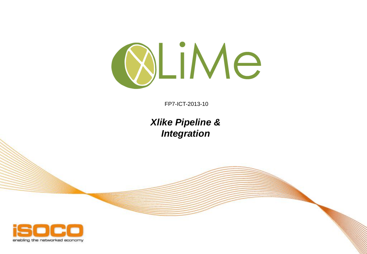

FP7-ICT-2013-10

## *Xlike Pipeline & Integration*

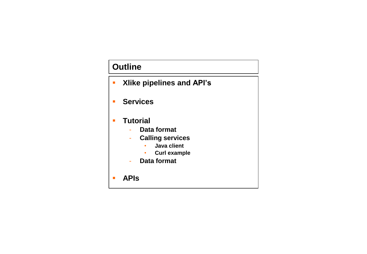## **Outline**

- **Xlike pipelines and API's**
- **Services**
- **Tutorial**
	- **Data format**
	- **Calling services**
		- **Java client**
		- **Curl example**
	- **Data format**
- **APIs**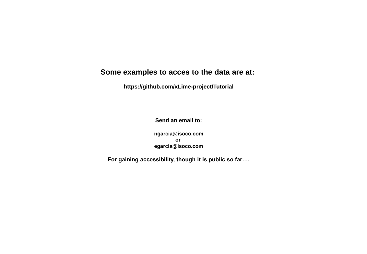### **Some examples to acces to the data are at:**

**https://github.com/xLime-project/Tutorial**

**Send an email to:**

**ngarcia@isoco.com or egarcia@isoco.com**

**For gaining accessibility, though it is public so far….**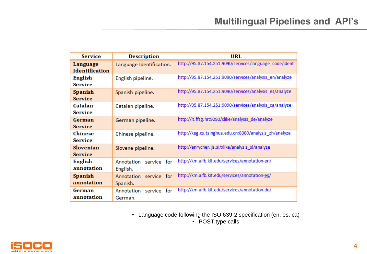| <b>Service</b>                     | <b>Description</b>                    | URL                                                    |  |
|------------------------------------|---------------------------------------|--------------------------------------------------------|--|
| Language<br><b>Identification</b>  | Language Identification.              | http://95.87.154.251:9090/services/language_code/ident |  |
| English<br><b>Service</b>          | English pipeline.                     | http://95.87.154.251:9090/services/analysis_en/analyze |  |
| <b>Spanish</b><br><b>Service</b>   | Spanish pipeline.                     | http://95.87.154.251:9090/services/analysis_es/analyze |  |
| Catalan<br><b>Service</b>          | Catalan pipeline.                     | http://95.87.154.251:9090/services/analysis_ca/analyze |  |
| German<br><b>Service</b>           | German pipeline.                      | http://lt.ffzg.hr:9090/xlike/analysis_de/analyze       |  |
| <b>Chinese</b><br><b>Service</b>   | Chinese pipeline.                     | http://keg.cs.tsinghua.edu.cn:8080/analysis_zh/analyze |  |
| <b>Slovenian</b><br><b>Service</b> | Slovene pipeline.                     | http://enrycher.ijs.si/xlike/analysis_sl/analyze       |  |
| English<br>annotation              | Annotation<br>service for<br>English. | http://km.aifb.kit.edu/services/annotation-en/         |  |
| <b>Spanish</b><br>annotation       | Annotation service for<br>Spanish.    | http://km.aifb.kit.edu/services/annotation-es/         |  |
| German<br>annotation               | Annotation service for<br>German.     | http://km.aifb.kit.edu/services/annotation-de/         |  |

• Language code following the ISO 639-2 specification (en, es, ca)

• POST type calls

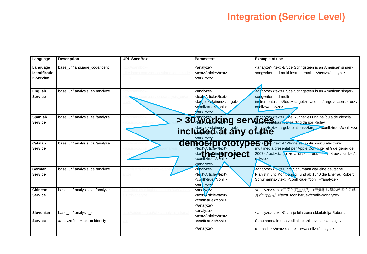## **Integration (Service Level)**

| Language                                      | <b>Description</b>                                      | <b>URL SandBox</b> | <b>Parameters</b>                                                                                                    | <b>Example of use</b>                                                                                                                                                                                                  |
|-----------------------------------------------|---------------------------------------------------------|--------------------|----------------------------------------------------------------------------------------------------------------------|------------------------------------------------------------------------------------------------------------------------------------------------------------------------------------------------------------------------|
| Language<br><b>Identificatio</b><br>n Service | base_url/language_code/ident                            |                    | <analyze><br/><text>Article</text><br/><math>\alpha</math>analyze&gt;</analyze>                                      | <analyze><text>Bruce Springsteen is an American singer-<br/>songwriter and multi-instrumentalist.</text></analyze>                                                                                                     |
| English<br><b>Service</b>                     | base url/ analysis en /analyze                          |                    | <analyze><br/><text>Article</text><br/><target>relations</target><br/><conll>true</conll><br/>/analyze&gt;</analyze> | <ar alyze=""><text>Bruce Springsteen is an American singer-<br/>son qwriter and multi-<br/>instrumentalist.</text><target>relations</target><conll>true<!--<br-->conll&gt;</conll></ar>                                |
| Spanish<br><b>Service</b>                     | base url/ analysis es /analyze                          |                    | > 30 Working ser                                                                                                     | Vienalyze s-stext>Blade Runner es una película de ciencia<br>Virtualidades dirigida por Ridley<br>included cat any ofaited exercises relations conll>true                                                              |
| Catalan<br><b>Service</b>                     | base url/ analysis ca /analyze                          |                    | demos/prototyp<br><tar<b>de a @ticp #@ject<br/><math>\langle</math>analyze&gt;</tar<b>                               | <b>et Sha Constants</b> <text>L'iPhone es un dispositiu electrònic<br/>multimèdia presentat per Apple Computer el 9 de gener de<br/>2007.</text> <target>relations</target> <conil>true<math>n</math>alyze&gt;</conil> |
| German<br><b>Service</b>                      | base_url/ analysis_de /analyze                          |                    | <analyze><br/><text>Article</text><br/><conll>true </conll><br/></analyze>                                           | <analyze><text>Clara Schumann war eine deutsche<br/>Pianistin und Kompenistin und ab 1840 die Ehefrau Robert<br/>Schumanns.</text><conll>true</conll></analyze>                                                        |
| <b>Chinese</b><br><b>Service</b>              | base url/ analysis zh /analyze                          | sis zh/analyze     | $\langle$ ana yza><br><text>Article</text><br><conll>true</conll><br>$\alpha$ analyze>                               | <analyze><text>正面的观点认为,由于元朝从忽必烈即位后就<br/>开始"行汉法",</text><conll>true</conll></analyze>                                                                                                                                   |
| Slovenian<br><b>Service</b>                   | base_url/ analysis_sl<br>/analyze?text=text to identify |                    | <analyze><br/><text>Article</text><br/><conll>true</conll><br/></analyze>                                            | <analyze><text>Clara je bila žena skladatelja Roberta<br/>Schumanna in ena vodilnih pianistov in skladateljev<br/>romantike.</text><conll>true</conll></analyze>                                                       |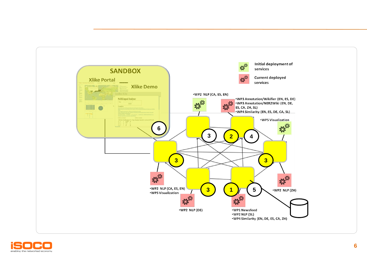

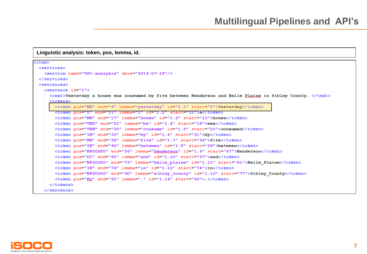**Linguistic analysis: token, pos, lemma, id.**

```
\texttt{item}<services>
   <service name="UPC-analysis" date="2013-07-18"/>
 </services>
 <sentences>
   <sentence id="1">
     <text>Yesterday a house was consumed by fire between Henderson and Belle Plaine in Sibley County. </text>
      <tokens>
       <token pos="NN" end="9" lemma="yesterday" id="1.1" start="0">Yesterday</token>
        <token pos="Z" end="11" lemma="1" id="1.2" start="10">a</token>
       <token pos="NN" end="17" lemma="house" id="1.3" start="12">house</token>
       <token pos="VBD" end="21" lemma="be" id="1.4" start="18">was</token>
       <token pos="VBN" end="30" lemma="consume" id="1.5" start="22">consumed</token>
       <token pos="IN" end="33" lemma="by" id="1.6" start="31">by</token>
        <token pos="NN" end="38" lemma="fire" id="1.7" start="34">fire</token>
       <token pos="IN" end="46" lemma="between" id="1.8" start="39">between</token>
       <token pos="NP00SP0" end="56" lemma="henderson" id="1.9" start="47">Henderson</token>
        <token pos="CC" end="60" lemma="and" id="1.10" start="57">and</token>
       <token pos="NP00G00" end="73" lemma="belle plaine" id="1.11" start="61">Belle Plaine</token>
       <token pos="IN" end="76" lemma="in" id="1.12" start="74">in</token>
       <token pos="NP00G00" end="90" lemma="sibley county" id="1.13" start="77">Sibley County</token>
       <token pos="Ep" end="91" lemma="." id="1.14" start="90">.</token>
     </tokens>
   </sentence>
```
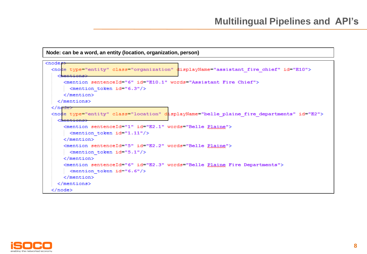```
Node: can be a word, an entity (location, organization, person)
```

```
<nodes>
 <node type="entity" class="organization" displayName="assistant fire chief" id="E10">
    <sub>mentions</sub></sub>
      <mention sentenceId="6" id="E10.1" words="Assistant Fire Chief">
      \langle/mention>
   \langle/mentions>
  \langle/node\rangle<node type="entity" class="location" displayName="belle plaine fire departments" id="E2">
    <mentions>
      <mention sentenceId="1" id="E2.1" words="Belle Plaine">
      \epsilonmention token id="1.11"/>
      \langle/mention>
      <mention sentenceId="5" id="E2.2" words="Belle Plaine">
      \leq mention token id="5.1"/>
      \langle/mention\rangle<mention sentenceId="6" id="E2.3" words="Belle Plaine Fire Departments">
      \leq mention token id="6.6"/>
      \langle/mention>
    </mentions>
  \langle/node>
```
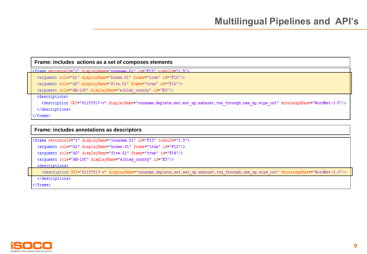#### **Frame: includes actions as a set of composes elements**

<frame sentenceId="1" displayName="consume.01" id="F13" tokenId="1.5">

<argument role="A1" displayName="house.01" frame="true" id="F12"/>

<argument role="A0" displayName="fire.01" frame="true" id="F14"/>

<argument role="AM-LOC" displayName="sibley county" id="E3"/>

<descriptions>

<description URI="01157517-v" displayName="consume,deplete,eat,eat up,exhaust,run through,use up,wipe out" knowledgeBase="WordNet-3.0"/>

</descriptions>

</frame>

#### **Frame: includes annotations as descriptors**

```
<frame sentenceId="1" displayName="consume.01" id="F13" tokenId="1.5">
 <argument role="A1" displayName="house.01" frame="true" id="F12"/>
 <arqument role="A0" displayName="fire.01" frame="true" id="F14"/>
 <argument role="AM-LOC" displayName="sibley county" id="E3"/>
 <descriptions>
   <description URI="01157517-v" displayName="consume, deplete, eat, eat up, exhaust, run through, use up, wipe out" knowledgeBase="WordNet-3.0"/>
 </descriptions>
```
 $\langle$  frame>

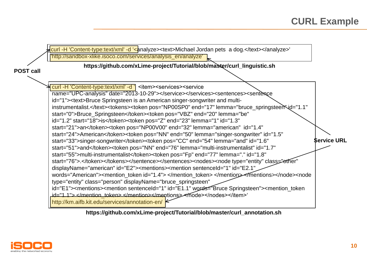

**https://github.com/xLime-project/Tutorial/blob/master/curl\_annotation.sh**

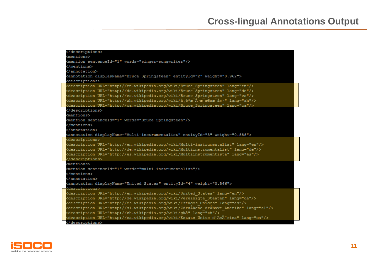## **Cross-lingual Annotations Output**

| <mentions></mentions>                                                                              |  |
|----------------------------------------------------------------------------------------------------|--|
| <mention sentenceid="1" words="singer-songwriter"></mention>                                       |  |
|                                                                                                    |  |
|                                                                                                    |  |
| <annotation displayname="Bruce Springsteen" entityid="2" weight="0.962"></annotation>              |  |
| <descriptions></descriptions>                                                                      |  |
| <description lang="en" url="http://en.wikipedia.org/wiki/Bruce Springsteen"></description>         |  |
| <description lang="de" url="http://de.wikipedia.org/wiki/Bruce Springsteen"></description>         |  |
| <description lang="es" url="http://es.wikipedia.org/wiki/Bruce Springsteen"></description>         |  |
| <description lang="zh" url="http://zh.wikipedia.org/wiki/å.é*æ¯Â·æ¯æ®ææ¯å»·"></description>        |  |
| <description lang="ca" url="http://ca.wikipedia.org/wiki/Bruce Springsteen"></description>         |  |
|                                                                                                    |  |
| <mentions></mentions>                                                                              |  |
| <mention sentenceid="1" words="Bruce Springsteen"></mention>                                       |  |
|                                                                                                    |  |
|                                                                                                    |  |
| <annotation displayname="Multi-instrumentalist" entityid="3" weight="0.888"></annotation>          |  |
| <descriptions></descriptions>                                                                      |  |
| <description lang="en" url="http://en.wikipedia.org/wiki/Multi-instrumentalist"></description>     |  |
| <description lang="de" url="http://de.wikipedia.org/wiki/Multiinstrumentalist"></description>      |  |
| <description lang="es" url="http://es.wikipedia.org/wiki/Multiinstrumentista"></description>       |  |
|                                                                                                    |  |
| <mentions></mentions>                                                                              |  |
| <mention sentenceid="1" words="multi-instrumentalist"></mention>                                   |  |
|                                                                                                    |  |
|                                                                                                    |  |
| <annotation displayname="United States" entityid="4" weight="0.566"></annotation>                  |  |
| <descriptions></descriptions>                                                                      |  |
| <description lang="en" url="http://en.wikipedia.org/wiki/United States"></description>             |  |
| <description lang="de" url="http://de.wikipedia.org/wiki/Vereinigte Staaten"></description>        |  |
| <description lang="es" url="http://es.wikipedia.org/wiki/Estados Unidos"></description>            |  |
| <description lang="sl" url="http://sl.wikipedia.org/wiki/ZdruÅ%ene drÅ%ave Amerike"></description> |  |
| <description lang="zh" url="http://zh.wikipedia.org/wiki/c¾å"></description>                       |  |
| <description lang="ca" url="http://ca.wikipedia.org/wiki/Estats Units d'Amèrica"></description>    |  |
|                                                                                                    |  |

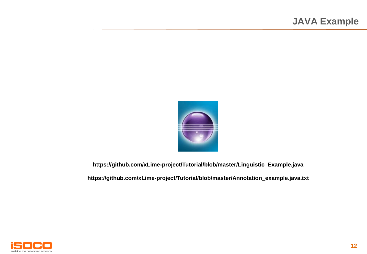

**https://github.com/xLime-project/Tutorial/blob/master/Linguistic\_Example.java**

**https://github.com/xLime-project/Tutorial/blob/master/Annotation\_example.java.txt**

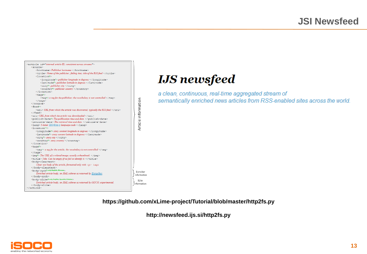

# **IJS** newsfeed

a clean, continuous, real-time aggregated stream of semantically enriched news articles from RSS-enabled sites across the world.

**https://github.com/xLime-project/Tutorial/blob/master/http2fs.py**

**http://newsfeed.ijs.si/http2fs.py**

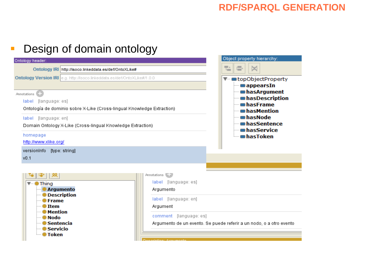# **Design of domain ontology**

| Object property hierarchy:                                                                                                                                                                           |
|------------------------------------------------------------------------------------------------------------------------------------------------------------------------------------------------------|
| t.<br>e<br>bo                                                                                                                                                                                        |
| Ontology Version IRI e.g. http://isoco.linkeddata.es/def/OntoXLike#/1.0.0<br>▼… topObjectProperty<br>appearsIn                                                                                       |
| <b>Im has Argument</b><br><b>Implay</b> has Description<br>— ∎hasFrame<br>Ontología de dominio sobre X-Like (Cross-lingual Knowledge Extraction)<br><b>Index</b> has Mention<br>— ∎hasNode           |
| <b>InasSentence</b><br>Domain Ontology X-Like (Cross-lingual Knowledge Extraction)<br>— ∎hasService                                                                                                  |
| └─ ∎hasToken                                                                                                                                                                                         |
|                                                                                                                                                                                                      |
| Annotations <sup>[1]</sup><br>label [language: es]<br>Argumento<br>label [language: en]<br>Argument<br>comment [language: es]<br>Argumento de un evento. Se puede referir a un nodo, o a otro evento |
|                                                                                                                                                                                                      |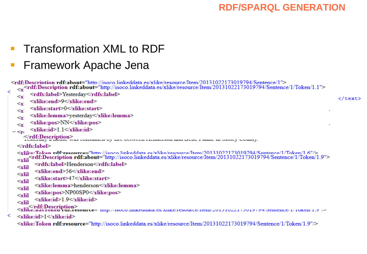Transformation XML to RDF

# Framework Apache Jena

```
<rdf:Description rdf:about="http://isoco.linkeddata.es/xlike/resource/Item/20131022173019794/Sentence/1">
   <rdf:Description rdf:about="http://isoco.linkeddata.es/xlike/resource/Item/20131022173019794/Sentence/1/Token/1.1">
         <rdfs:label>Yesterday</rdfs:label>
   \leq x</text>
         <xlike:end>9</xlike:end>
   \leq x<xlike:start>0</xlike:start>
   \leqx\geq<xlike:lemma>yesterday</xlike:lemma>
   \leqx\geq<xlike:pos>NN</xlike:pos>
   \leq x<xlike:id>1_1</xlike:id>
 -\leqn
      Ardf:Description><br>Astrony a newse was consumed by the between tremerson and locke t raine in othery county.
   </rdfs:label>
   <xlike:Token rdf:resource="http://isoco.linkeddata.es/xlike/resource/Item/20131022173019794/Sentence/1/Token/1.6"/>
   <xlil
          <rdfs:label>Henderson</rdfs:label>
   ≺xlil
          <xlike:end>56</xlike:end>
   ≪rlil
          <xlike:start>47</xlike:start>
   ≪rlil
          <xlike:lemma>henderson</xlike:lemma>
   \lexlil
          <xlike:pos>NP00SP0</xlike:pos>
   \lexlil
          <xlike:id>1.9</xlike:id>
   ≪rlil
   </rdf:Description><br><xlike:nas roken rui:resource- mup.//isoco.mikeddata.es/xiike/resource/riem/201510221/5019/94/oentence/1/10ken/1.9//<
≺
   <xlike:id>l</xlike:id>
   <xlike:Token rdf:resource="http://isoco.linkeddata.es/xlike/resource/Item/20131022173019794/Sentence/1/Token/1.9"/>
```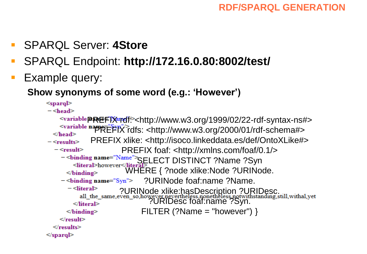- SPARQL Server: **4Store**
- SPARQL Endpoint: **http://172.16.0.80:8002/test/**
- **Example query:**

**Show synonyms of some word (e.g.: 'However')** 

```
<sparq\triangleright- <head>
```

```
\simvariable@REFIX rdf: \simhttp://www.w3.org/1999/02/22-rdf-syntax-ns#>
   PREFIX rdfs: <http://www.w3.org/2000/01/rdf-schema#> 
 </head>PREFIX xlike: <http://isoco.linkeddata.es/def/OntoXLike#> 
- <results>
                       PREFIX foaf: <http://xmlns.com/foaf/0.1/> 
  - <result>
    - <binding name="Name">SELECT DISTINCT ?Name ?Syn<br><literal>however</literal>>>>>>> <literal>however</literal>>>
                        WHERE { ?node xlike:Node ?URINode. 
      </binding>
                             ?URINode foaf:name ?Name. 
    - <br/>binding name="\text{Syn}">
      - <literal>
                      ?URINode xlike:hasDescription ?URIDesc.
                               ?URIDesc foaf:name ?Syn. 
       \le/literal>
                            FILTER (?Name = "however") }
     </binding>
   \le/result>
 \le/results>
</sparql>
```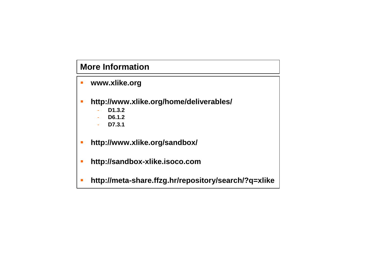## **More Information**

- **www.xlike.org**
- **http://www.xlike.org/home/deliverables/**
	- **D1.3.2**
	- **D6.1.2**
	- **D7.3.1**
- **http://www.xlike.org/sandbox/**
- **http://sandbox-xlike.isoco.com**
- **http://meta-share.ffzg.hr/repository/search/?q=xlike**